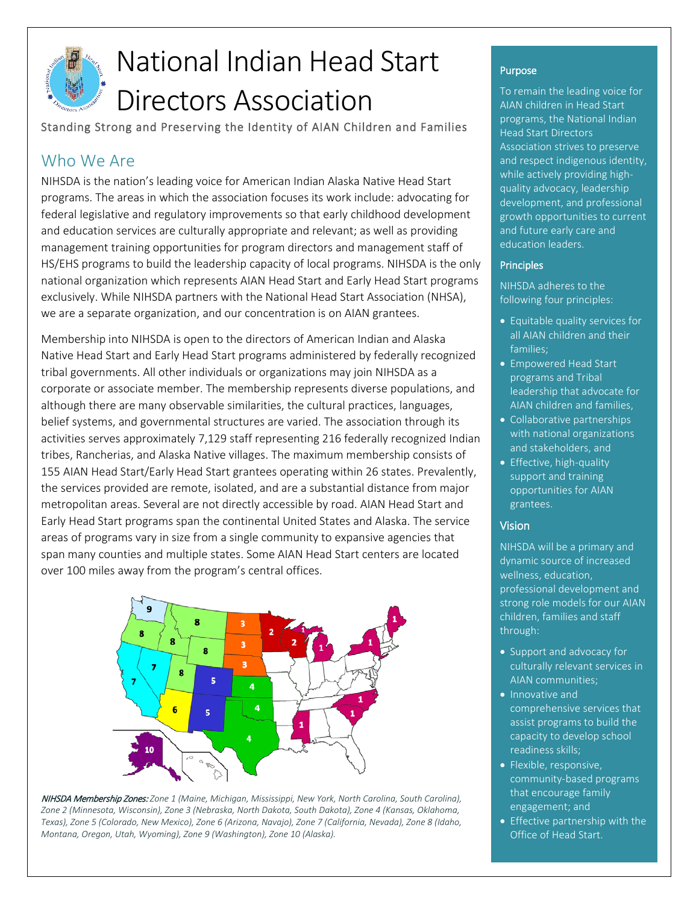

# National Indian Head Start Directors Association

Standing Strong and Preserving the Identity of AIAN Children and Families

# Who We Are

NIHSDA is the nation's leading voice for American Indian Alaska Native Head Start programs. The areas in which the association focuses its work include: advocating for federal legislative and regulatory improvements so that early childhood development and education services are culturally appropriate and relevant; as well as providing management training opportunities for program directors and management staff of HS/EHS programs to build the leadership capacity of local programs. NIHSDA is the only national organization which represents AIAN Head Start and Early Head Start programs exclusively. While NIHSDA partners with the National Head Start Association (NHSA), we are a separate organization, and our concentration is on AIAN grantees.

Membership into NIHSDA is open to the directors of American Indian and Alaska Native Head Start and Early Head Start programs administered by federally recognized tribal governments. All other individuals or organizations may join NIHSDA as a corporate or associate member. The membership represents diverse populations, and although there are many observable similarities, the cultural practices, languages, belief systems, and governmental structures are varied. The association through its activities serves approximately 7,129 staff representing 216 federally recognized Indian tribes, Rancherias, and Alaska Native villages. The maximum membership consists of 155 AIAN Head Start/Early Head Start grantees operating within 26 states. Prevalently, the services provided are remote, isolated, and are a substantial distance from major metropolitan areas. Several are not directly accessible by road. AIAN Head Start and Early Head Start programs span the continental United States and Alaska. The service areas of programs vary in size from a single community to expansive agencies that span many counties and multiple states. Some AIAN Head Start centers are located over 100 miles away from the program's central offices.



NIHSDA Membership Zones: *Zone 1 (Maine, Michigan, Mississippi, New York, North Carolina, South Carolina), Zone 2 (Minnesota, Wisconsin), Zone 3 (Nebraska, North Dakota, South Dakota), Zone 4 (Kansas, Oklahoma, Texas), Zone 5 (Colorado, New Mexico), Zone 6 (Arizona, Navajo), Zone 7 (California, Nevada), Zone 8 (Idaho, Montana, Oregon, Utah, Wyoming), Zone 9 (Washington), Zone 10 (Alaska).*

## Purpose

To remain the leading voice for AIAN children in Head Start programs, the National Indian Head Start Directors Association strives to preserve and respect indigenous identity, while actively providing highquality advocacy, leadership development, and professional growth opportunities to current and future early care and education leaders.

#### **Principles**

NIHSDA adheres to the following four principles:

- Equitable quality services for all AIAN children and their families;
- Empowered Head Start programs and Tribal leadership that advocate for AIAN children and families,
- Collaborative partnerships with national organizations and stakeholders, and
- Effective, high-quality support and training opportunities for AIAN grantees.

### Vision

NIHSDA will be a primary and dynamic source of increased wellness, education, professional development and strong role models for our AIAN children, families and staff through:

- Support and advocacy for culturally relevant services in AIAN communities;
- Innovative and comprehensive services that assist programs to build the capacity to develop school readiness skills;
- Flexible, responsive, community-based programs that encourage family engagement; and
- Effective partnership with the Office of Head Start.